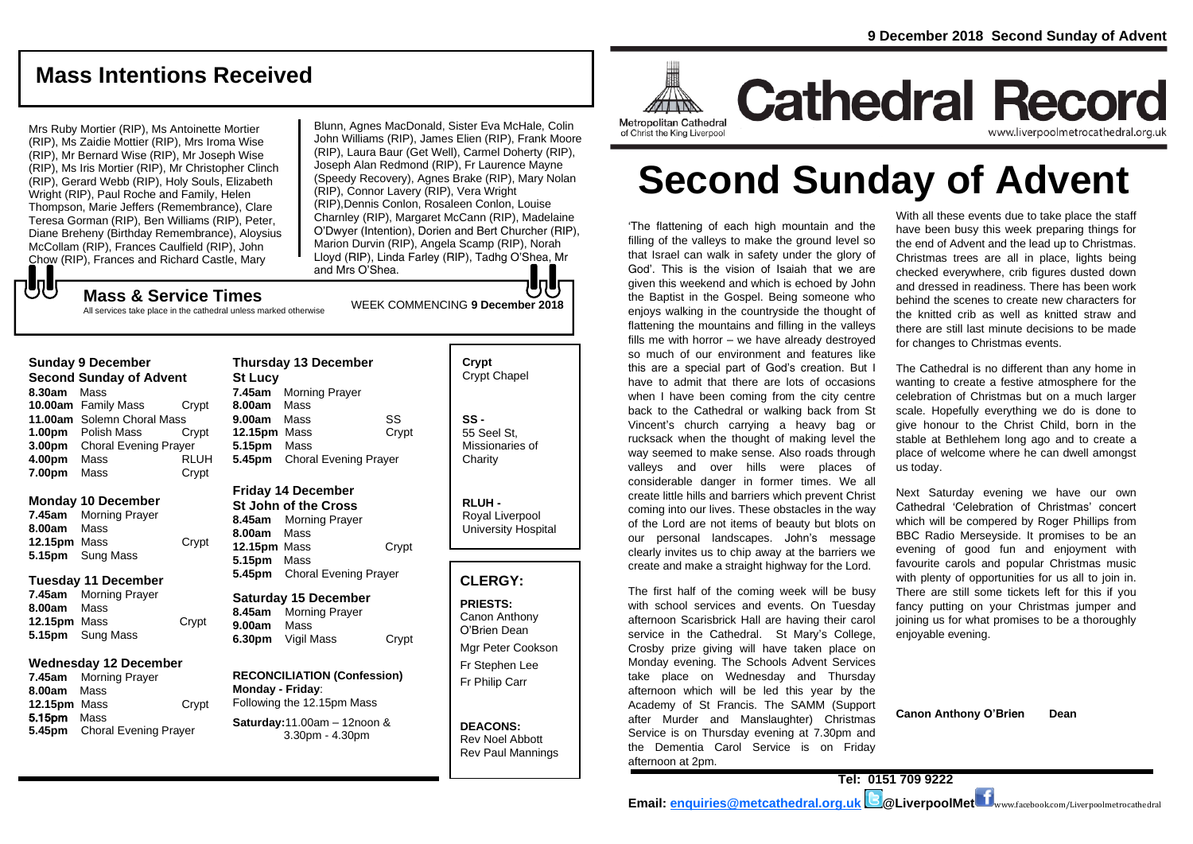# **Mass Intentions Received**

Mrs Ruby Mortier (RIP), Ms Antoinette Mortier (RIP), Ms Zaidie Mottier (RIP), Mrs Iroma Wise (RIP), Mr Bernard Wise (RIP), Mr Joseph Wise (RIP), Ms Iris Mortier (RIP), Mr Christopher Clinch (RIP), Gerard Webb (RIP), Holy Souls, Elizabeth Wright (RIP), Paul Roche and Family, Helen Thompson, Marie Jeffers (Remembrance), Clare Teresa Gorman (RIP), Ben Williams (RIP), Peter, Diane Breheny (Birthday Remembrance), Aloysius McCollam (RIP), Frances Caulfield (RIP), John Chow (RIP), Frances and Richard Castle, Mary

Blunn, Agnes MacDonald, Sister Eva McHale, Colin John Williams (RIP), James Elien (RIP), Frank Moore (RIP), Laura Baur (Get Well), Carmel Doherty (RIP), Joseph Alan Redmond (RIP), Fr Laurence Mayne (Speedy Recovery), Agnes Brake (RIP), Mary Nolan (RIP), Connor Lavery (RIP), Vera Wright (RIP),Dennis Conlon, Rosaleen Conlon, Louise Charnley (RIP), Margaret McCann (RIP), Madelaine O'Dwyer (Intention), Dorien and Bert Churcher (RIP), Marion Durvin (RIP), Angela Scamp (RIP), Norah Lloyd (RIP), Linda Farley (RIP), Tadhg O'Shea, Mr and Mrs O'Shea.

# もし

WEEK COMMENCING **<sup>9</sup> December <sup>2018</sup> Mass & Service Times** All services take place in the cathedral unless marked otherwise

## **Sunday 9 December**

**Second Sunday of Advent 8.30am** Mass **10.00am** Family Mass Crypt **11.00am** Solemn Choral Mass **1.00pm** Polish Mass Crypt **3.00pm** Choral Evening Prayer **4.00pm** Mass RLUH **7.00pm** Mass Crypt

## **Monday 10 December**

**7.45am** Morning Prayer **8.00am** Mass **12.15pm** Mass Crypt **5.15pm** Sung Mass

## **Tuesday 11 December**

| 7.45am       | <b>Morning Prayer</b>   |       |
|--------------|-------------------------|-------|
| 8.00am       | Mass                    |       |
| 12.15pm Mass |                         | Crypt |
|              | <b>5.15pm</b> Sung Mass |       |

# **Wednesday 12 December**

**7.45am** Morning Prayer **8.00am** Mass **12.15pm** Mass Crypt 5.15pm Mass **5.45pm** Choral Evening Prayer

# **Thursday 13 December St Lucy 7.45am** Morning Prayer **8.00am** Mass **9.00am** Mass SS **12.15pm** Mass Crypt **5.15pm** Mass **5.45pm** Choral Evening Prayer

# **Friday 14 December**

**St John of the Cross 8.45am** Morning Prayer **8.00am** Mass **12.15pm** Mass Crypt **5.15pm** Mass **5.45pm** Choral Evening Prayer

## **Saturday 15 December 8.45am** Morning Prayer **9.00am** Mass

**6.30pm** Vigil Mass Crypt

## **RECONCILIATION (Confession) Monday - Friday**: Following the 12.15pm Mass

**Saturday:**11.00am – 12noon & 3.30pm - 4.30pm

# **Crypt**  Crypt Chapel

**SS -** 55 Seel St, Missionaries of **Charity** 

**RLUH -** Royal Liverpool University Hospital

# **CLERGY:**

**PRIESTS:** Canon Anthony O'Brien *Dean* Mgr Peter Cookson

Fr Stephen Lee Fr Philip Carr

**DEACONS:** Rev Noel Abbott Rev Paul Mannings



# **Cathedral Record** www.liverpoolmetrocathedral.o

of Christ the King Liverpool

# **Second Sunday of Advent**

'The flattening of each high mountain and the filling of the valleys to make the ground level so that Israel can walk in safety under the glory of God'. This is the vision of Isaiah that we are given this weekend and which is echoed by John the Baptist in the Gospel. Being someone who enjoys walking in the countryside the thought of flattening the mountains and filling in the valleys fills me with horror – we have already destroyed so much of our environment and features like this are a special part of God's creation. But I have to admit that there are lots of occasions when I have been coming from the city centre back to the Cathedral or walking back from St Vincent's church carrying a heavy bag or rucksack when the thought of making level the way seemed to make sense. Also roads through valleys and over hills were places of considerable danger in former times. We all create little hills and barriers which prevent Christ coming into our lives. These obstacles in the way of the Lord are not items of beauty but blots on our personal landscapes. John's message clearly invites us to chip away at the barriers we create and make a straight highway for the Lord.

The first half of the coming week will be busy with school services and events. On Tuesday afternoon Scarisbrick Hall are having their carol service in the Cathedral. St Mary's College, Crosby prize giving will have taken place on Monday evening. The Schools Advent Services take place on Wednesday and Thursday afternoon which will be led this year by the Academy of St Francis. The SAMM (Support after Murder and Manslaughter) Christmas Service is on Thursday evening at 7.30pm and the Dementia Carol Service is on Friday afternoon at 2pm.

With all these events due to take place the staff have been busy this week preparing things for the end of Advent and the lead up to Christmas. Christmas trees are all in place, lights being checked everywhere, crib figures dusted down and dressed in readiness. There has been work behind the scenes to create new characters for the knitted crib as well as knitted straw and there are still last minute decisions to be made for changes to Christmas events.

The Cathedral is no different than any home in wanting to create a festive atmosphere for the celebration of Christmas but on a much larger scale. Hopefully everything we do is done to give honour to the Christ Child, born in the stable at Bethlehem long ago and to create a place of welcome where he can dwell amongst us today.

Next Saturday evening we have our own Cathedral 'Celebration of Christmas' concert which will be compered by Roger Phillips from BBC Radio Merseyside. It promises to be an evening of good fun and enjoyment with favourite carols and popular Christmas music with plenty of opportunities for us all to join in. There are still some tickets left for this if you fancy putting on your Christmas jumper and joining us for what promises to be a thoroughly enjoyable evening.

**Canon Anthony O'Brien Dean**

**Tel: 0151 709 9222 Email: [enquiries@metcathedral.org.uk](mailto:enquiries@metcathedral.org.uk) @LiverpoolMet** www.facebook.com/Liverpoolmetrocathedral